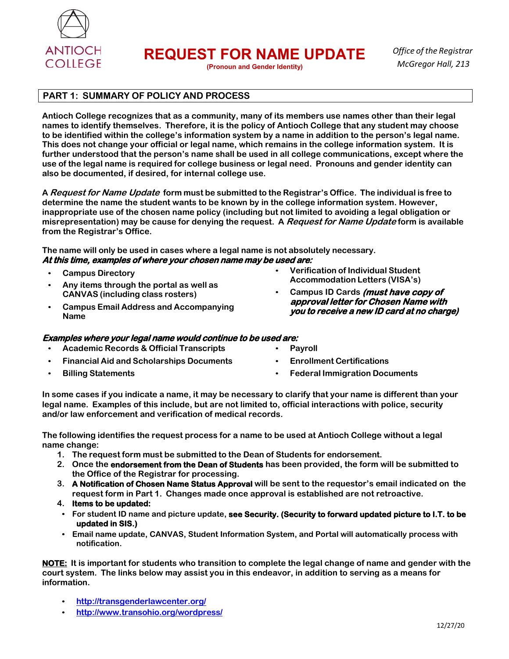

**REQUEST FOR NAME UPDATE**

**(Pronoun and Gender Identity)**

*Office of the Registrar McGregor Hall, 213*

## **PART 1: SUMMARY OF POLICY AND PROCESS**

**Antioch College recognizes that as a community, many of its members use names other than their legal names to identify themselves. Therefore, it is the policy of Antioch College that any student may choose to be identified within the college's information system by a name in addition to the person's legal name. This does not change your official or legal name, which remains in the college information system. It is further understood that the person's name shall be used in all college communications, except where the use of the legal name is required for college business or legal need. Pronouns and gender identity can also be documented, if desired, for internal college use.**

**A Request for Name Update form must be submitted to the Registrar's Office. The individual is free to determine the name the student wants to be known by in the college information system. However, inappropriate use of the chosen name policy (including but not limited to avoiding a legal obligation or misrepresentation) may be cause for denying the request. A Request for Name Update form is available from the Registrar's Office.**

**The name will only be used in cases where a legal name is not absolutely necessary. At this time, examples of where your chosen name may be used are:** 

- **Campus Directory**
- **Any items through the portal as well as CANVAS (including class rosters)**
- **Campus Email Address and Accompanying Name**
- **Examples where your legal name would continue to be used are:** 
	- **Academic Records & Official Transcripts**
- **Financial Aid and Scholarships Documents**
- **Billing Statements**
- **Verification of Individual Student Accommodation Letters (VISA's)**
- **Campus ID Cards (must have copy of approval letter for Chosen Name with you to receive a new ID card at no charge)**
- **Payroll** • **Enrollment Certifications**
- 
- **Federal Immigration Documents**

**In some cases if you indicate a name, it may be necessary to clarify that your name is different than your legal name. Examples of this include, but are not limited to, official interactions with police, security and/or law enforcement and verification of medical records.**

**The following identifies the request process for a name to be used at Antioch College without a legal name change:**

- **1. The request form must be submitted to the Dean of Students for endorsement.**
- **2. Once the endorsement from the Dean of Students has been provided, the form will be submitted to the Office of the Registrar for processing.**
- **3. A Notification of Chosen Name Status Approval will be sent to the requestor's email indicated on the request form in Part 1. Changes made once approval is established are not retroactive.**
- **4. Items to be updated:**
- **For student ID name and picture update, see Security. (Security to forward updated picture to I.T. to be updated in SIS.)**
- **Email name update, CANVAS, Student Information System, and Portal will automatically process with notification.**

NOTE: It is important for students who transition to complete the legal change of name and gender with the **court system. The links below may assist you in this endeavor, in addition to serving as a means for information.**

- **http://transgenderlawcenter.org/**
- **http://www.transohio.org/wordpress/**